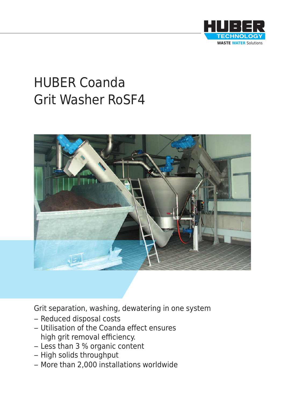

# HUBER Coanda Grit Washer RoSF4



Grit separation, washing, dewatering in one system

- Reduced disposal costs
- Utilisation of the Coanda effect ensures high grit removal efficiency.
- Less than 3 % organic content
- High solids throughput
- More than 2,000 installations worldwide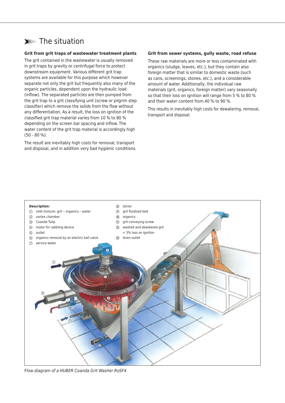# ➤➤➤ The situation

#### **Grit from grit traps of wastewater treatment plants**

The grit contained in the wastewater is usually removed in grit traps by gravity or centrifugal force to protect downstream equipment. Various different grit trap systems are available for this purpose which however separate not only the grit but frequently also many of the organic particles, dependent upon the hydraulic load (inflow). The separated particles are then pumped from the grit trap to a grit classifying unit (screw or pilgrim step classifier) which remove the solids from the flow without any differentiation. As a result, the loss on ignition of the classified grit trap material varies from 10 % to 80 % depending on the screen bar spacing and inflow. The water content of the grit trap material is accordingly high (50 - 80 %).

The result are inevitably high costs for removal, transport and disposal, and in addition very bad hygienic conditions.

#### **Grit from sewer systems, gully waste, road refuse**

These raw materials are more or less contaminated with organics (sludge, leaves, etc.), but they contain also foreign matter that is similar to domestic waste (such as cans, screenings, stones, etc.), and a considerable amount of water. Additionally, the individual raw materials (grit, organics, foreign matter) vary seasonally so that their loss on ignition will range from 5 % to 80 % and their water content from 40 % to 90 %.

This results in inevitably high costs for dewatering, removal, transport and disposal.



*Flow diagram of a HUBER Coanda Grit Washer RoSF4*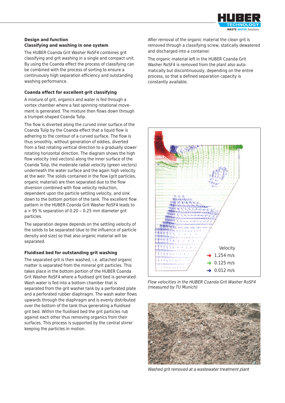

#### **Design and function Classifying and washing in one system**

The HUBER Coanda Grit Washer RoSF4 combines grit classifying and grit washing in a single and compact unit. By using the Coanda effect the process of classifying can be combined with the process of sorting to ensure a continuously high separation efficiency and outstanding washing performance.

#### **Coanda effect for excellent grit classifying**

A mixture of grit, organics and water is fed through a vortex chamber where a fast spinning rotational movement is generated. The mixture then flows down through a trumpet-shaped Coanda Tulip.

The flow is diverted along the curved inner surface of the Coanda Tulip by the Coanda effect that a liquid flow is adhering to the contour of a curved surface. The flow is thus smoothly, without generation of eddies, diverted from a fast rotating vertical direction to a gradually slower rotating horizontal direction. The diagram shows the high flow velocity (red vectors) along the inner surface of the Coanda Tulip, the moderate radial velocity (green vectors) underneath the water surface and the again high velocity at the weir. The solids contained in the flow (grit particles, organic material) are then separated due to the flow diversion combined with flow velocity reduction, dependent upon the particle settling velocity, and sink down to the bottom portion of the tank. The excellent flow pattern in the HUBER Coanda Grit Washer RoSF4 leads to  $a > 95$  % separation of 0.20 – 0.25 mm diameter grit particles.

The separation degree depends on the settling velocity of the solids to be separated (due to the influence of particle density and size) so that also organic material will be separated.

#### **Fluidised bed for outstanding grit washing**

The separated grit is then washed, i.e. attached organic matter is separated from the mineral grit particles. This takes place in the bottom portion of the HUBER Coanda Grit Washer RoSF4 where a fluidised grit bed is generated. Wash water is fed into a bottom chamber that is separated from the grit washer tank by a perforated plate and a perforated rubber diaphragm. The wash water flows upwards through the diaphragm and is evenly distributed over the bottom of the tank thus generating a fluidised grit bed. Within the fluidised bed the grit particles rub against each other thus removing organics from their surfaces. This process is supported by the central stirrer keeping the particles in motion.

After removal of the organic material the clean grit is removed through a classifying screw, statically dewatered and discharged into a container.

The organic material left in the HUBER Coanda Grit Washer RoSF4 is removed from the plant also automatically but discontinuously, depending on the entire process, so that a defined separation capacity is constantly available.



*Flow velocities in the HUBER Coanda Grit Washer RoSF4 (measured by TU Munich)*



*Washed grit removed at a wastewater treatment plant*